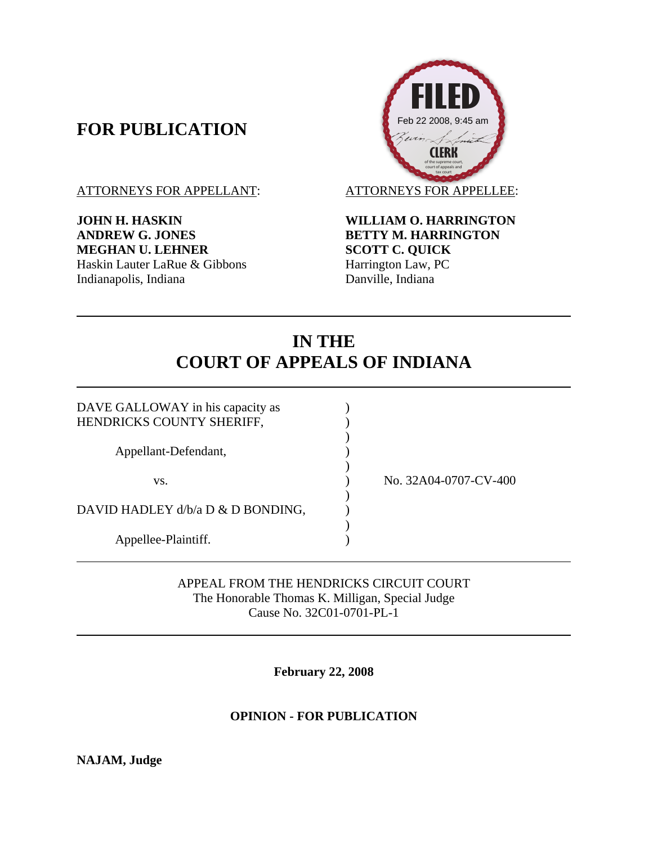## **FOR PUBLICATION**

**JOHN H. HASKIN WILLIAM O. HARRINGTON ANDREW G. JONES BETTY M. HARRINGTON MEGHAN U. LEHNER SCOTT C. QUICK** Haskin Lauter LaRue & Gibbons<br>
Harrington Law, PC<br>
Danville, Indiana<br>
Danville, Indiana Indianapolis, Indiana



# **IN THE COURT OF APPEALS OF INDIANA**

| No. 32A04-0707-CV-400 |
|-----------------------|
|                       |
|                       |
|                       |
|                       |
|                       |

APPEAL FROM THE HENDRICKS CIRCUIT COURT The Honorable Thomas K. Milligan, Special Judge Cause No. 32C01-0701-PL-1

**February 22, 2008** 

## **OPINION - FOR PUBLICATION**

**NAJAM, Judge**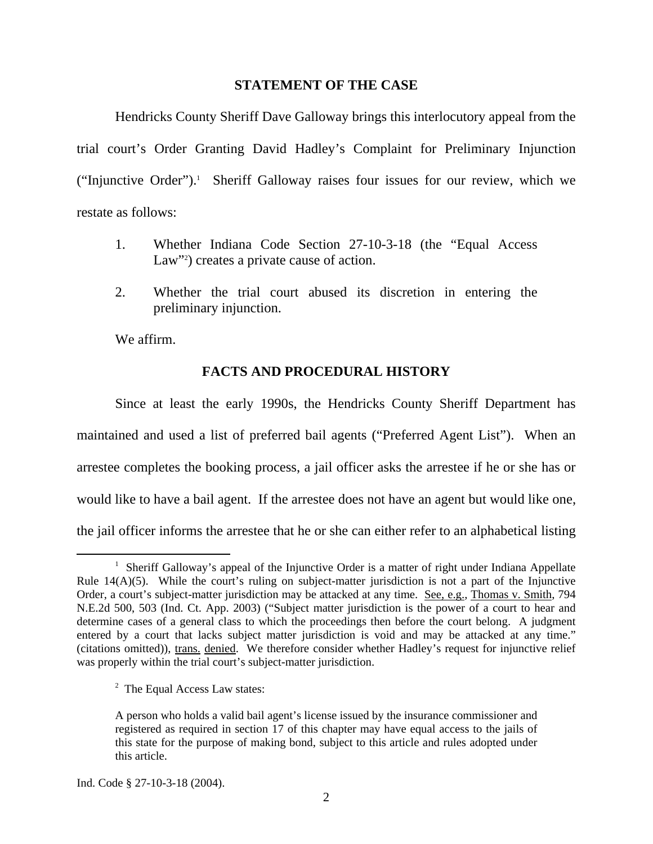#### **STATEMENT OF THE CASE**

 Hendricks County Sheriff Dave Galloway brings this interlocutory appeal from the trial court's Order Granting David Hadley's Complaint for Preliminary Injunction ("Injunctive Order").<sup>1</sup> Sheriff Galloway raises four issues for our review, which we restate as follows:

- 1. Whether Indiana Code Section 27-10-3-18 (the "Equal Access Law"<sup>2</sup>) creates a private cause of action.
- 2. Whether the trial court abused its discretion in entering the preliminary injunction.

We affirm.

 $\overline{a}$ 

### **FACTS AND PROCEDURAL HISTORY**

 Since at least the early 1990s, the Hendricks County Sheriff Department has maintained and used a list of preferred bail agents ("Preferred Agent List"). When an arrestee completes the booking process, a jail officer asks the arrestee if he or she has or would like to have a bail agent. If the arrestee does not have an agent but would like one, the jail officer informs the arrestee that he or she can either refer to an alphabetical listing

Ind. Code § 27-10-3-18 (2004).

<sup>&</sup>lt;sup>1</sup> Sheriff Galloway's appeal of the Injunctive Order is a matter of right under Indiana Appellate Rule 14(A)(5). While the court's ruling on subject-matter jurisdiction is not a part of the Injunctive Order, a court's subject-matter jurisdiction may be attacked at any time. See, e.g., Thomas v. Smith, 794 N.E.2d 500, 503 (Ind. Ct. App. 2003) ("Subject matter jurisdiction is the power of a court to hear and determine cases of a general class to which the proceedings then before the court belong. A judgment entered by a court that lacks subject matter jurisdiction is void and may be attacked at any time." (citations omitted)), trans. denied. We therefore consider whether Hadley's request for injunctive relief was properly within the trial court's subject-matter jurisdiction.

<sup>&</sup>lt;sup>2</sup> The Equal Access Law states:

A person who holds a valid bail agent's license issued by the insurance commissioner and registered as required in section 17 of this chapter may have equal access to the jails of this state for the purpose of making bond, subject to this article and rules adopted under this article.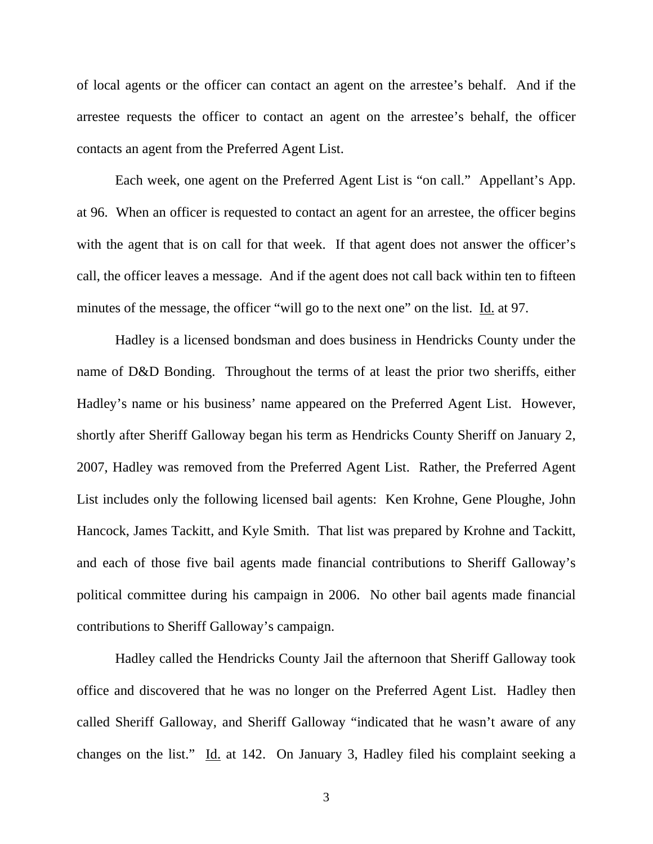of local agents or the officer can contact an agent on the arrestee's behalf. And if the arrestee requests the officer to contact an agent on the arrestee's behalf, the officer contacts an agent from the Preferred Agent List.

Each week, one agent on the Preferred Agent List is "on call." Appellant's App. at 96. When an officer is requested to contact an agent for an arrestee, the officer begins with the agent that is on call for that week. If that agent does not answer the officer's call, the officer leaves a message. And if the agent does not call back within ten to fifteen minutes of the message, the officer "will go to the next one" on the list. Id. at 97.

Hadley is a licensed bondsman and does business in Hendricks County under the name of D&D Bonding. Throughout the terms of at least the prior two sheriffs, either Hadley's name or his business' name appeared on the Preferred Agent List. However, shortly after Sheriff Galloway began his term as Hendricks County Sheriff on January 2, 2007, Hadley was removed from the Preferred Agent List. Rather, the Preferred Agent List includes only the following licensed bail agents: Ken Krohne, Gene Ploughe, John Hancock, James Tackitt, and Kyle Smith. That list was prepared by Krohne and Tackitt, and each of those five bail agents made financial contributions to Sheriff Galloway's political committee during his campaign in 2006. No other bail agents made financial contributions to Sheriff Galloway's campaign.

Hadley called the Hendricks County Jail the afternoon that Sheriff Galloway took office and discovered that he was no longer on the Preferred Agent List. Hadley then called Sheriff Galloway, and Sheriff Galloway "indicated that he wasn't aware of any changes on the list." Id. at 142. On January 3, Hadley filed his complaint seeking a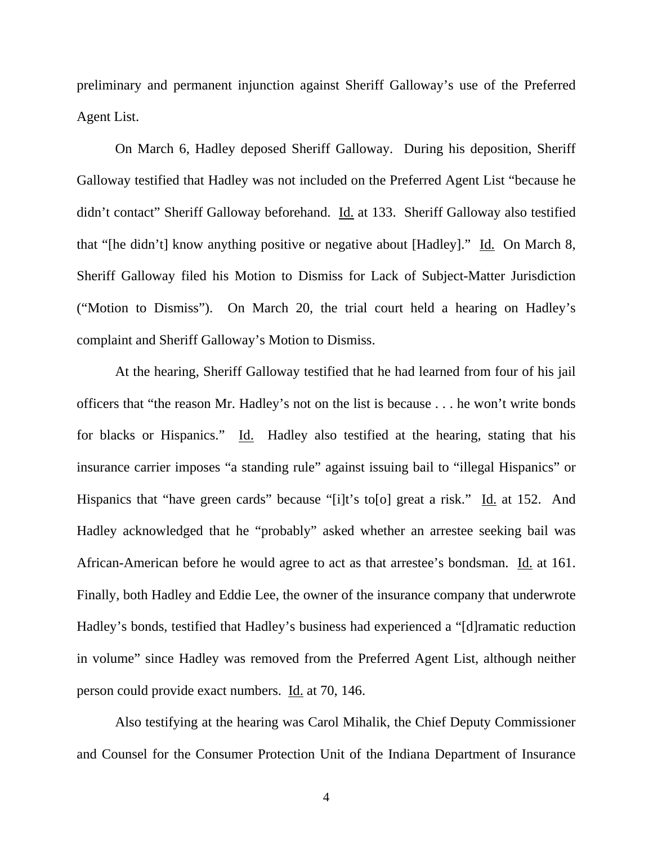preliminary and permanent injunction against Sheriff Galloway's use of the Preferred Agent List.

 On March 6, Hadley deposed Sheriff Galloway. During his deposition, Sheriff Galloway testified that Hadley was not included on the Preferred Agent List "because he didn't contact" Sheriff Galloway beforehand. Id. at 133. Sheriff Galloway also testified that "[he didn't] know anything positive or negative about [Hadley]." Id. On March 8, Sheriff Galloway filed his Motion to Dismiss for Lack of Subject-Matter Jurisdiction ("Motion to Dismiss"). On March 20, the trial court held a hearing on Hadley's complaint and Sheriff Galloway's Motion to Dismiss.

At the hearing, Sheriff Galloway testified that he had learned from four of his jail officers that "the reason Mr. Hadley's not on the list is because . . . he won't write bonds for blacks or Hispanics." Id. Hadley also testified at the hearing, stating that his insurance carrier imposes "a standing rule" against issuing bail to "illegal Hispanics" or Hispanics that "have green cards" because "[i]t's to[o] great a risk." Id. at 152. And Hadley acknowledged that he "probably" asked whether an arrestee seeking bail was African-American before he would agree to act as that arrestee's bondsman. Id. at 161. Finally, both Hadley and Eddie Lee, the owner of the insurance company that underwrote Hadley's bonds, testified that Hadley's business had experienced a "[d]ramatic reduction in volume" since Hadley was removed from the Preferred Agent List, although neither person could provide exact numbers. Id. at 70, 146.

Also testifying at the hearing was Carol Mihalik, the Chief Deputy Commissioner and Counsel for the Consumer Protection Unit of the Indiana Department of Insurance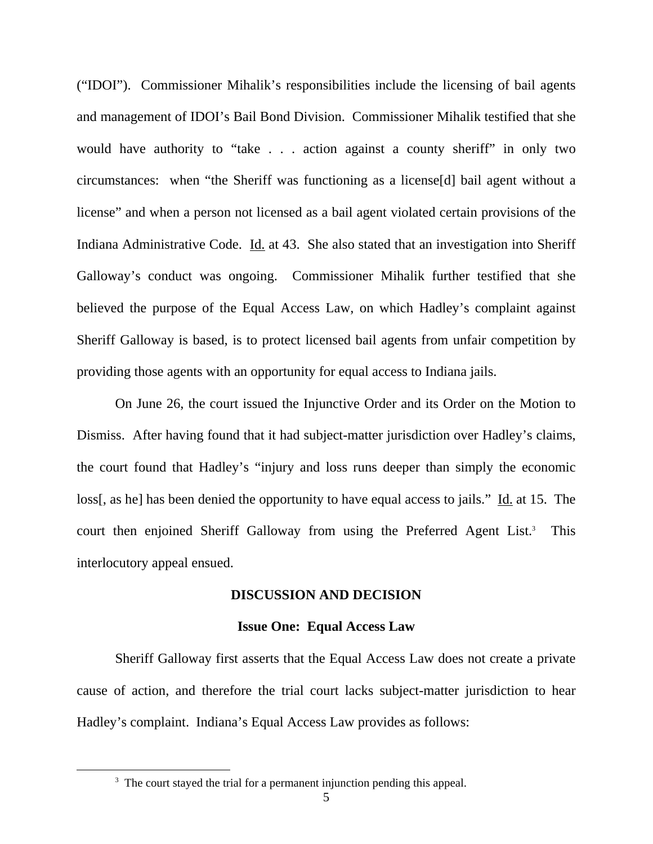("IDOI"). Commissioner Mihalik's responsibilities include the licensing of bail agents and management of IDOI's Bail Bond Division. Commissioner Mihalik testified that she would have authority to "take . . . action against a county sheriff" in only two circumstances: when "the Sheriff was functioning as a license[d] bail agent without a license" and when a person not licensed as a bail agent violated certain provisions of the Indiana Administrative Code. Id. at 43. She also stated that an investigation into Sheriff Galloway's conduct was ongoing. Commissioner Mihalik further testified that she believed the purpose of the Equal Access Law, on which Hadley's complaint against Sheriff Galloway is based, is to protect licensed bail agents from unfair competition by providing those agents with an opportunity for equal access to Indiana jails.

On June 26, the court issued the Injunctive Order and its Order on the Motion to Dismiss. After having found that it had subject-matter jurisdiction over Hadley's claims, the court found that Hadley's "injury and loss runs deeper than simply the economic loss[, as he] has been denied the opportunity to have equal access to jails." Id. at 15. The court then enjoined Sheriff Galloway from using the Preferred Agent List.<sup>3</sup> This interlocutory appeal ensued.

#### **DISCUSSION AND DECISION**

#### **Issue One: Equal Access Law**

 Sheriff Galloway first asserts that the Equal Access Law does not create a private cause of action, and therefore the trial court lacks subject-matter jurisdiction to hear Hadley's complaint. Indiana's Equal Access Law provides as follows:

 $\frac{1}{3}$ <sup>3</sup> The court stayed the trial for a permanent injunction pending this appeal.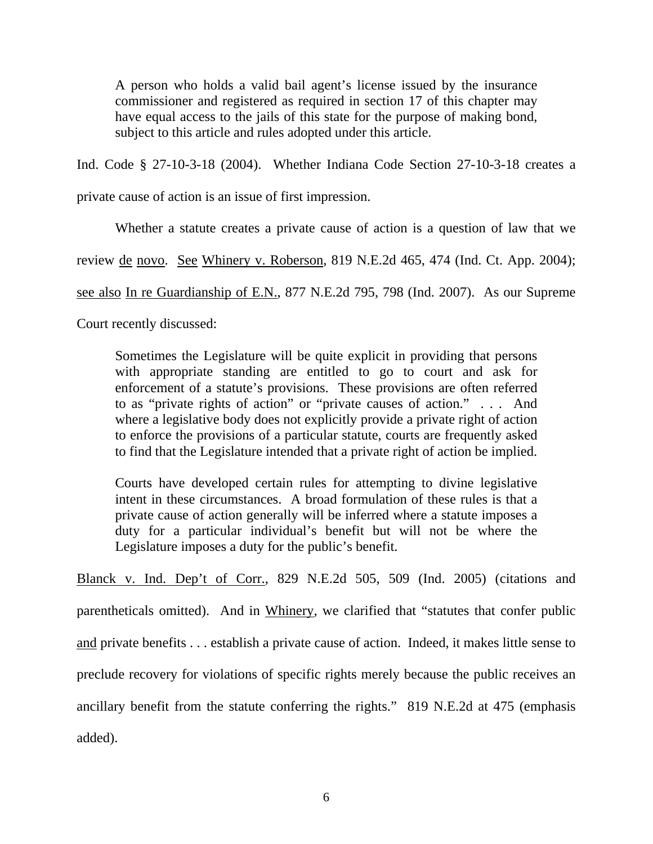A person who holds a valid bail agent's license issued by the insurance commissioner and registered as required in section 17 of this chapter may have equal access to the jails of this state for the purpose of making bond, subject to this article and rules adopted under this article.

Ind. Code § 27-10-3-18 (2004). Whether Indiana Code Section 27-10-3-18 creates a

private cause of action is an issue of first impression.

Whether a statute creates a private cause of action is a question of law that we

review de novo. See Whinery v. Roberson, 819 N.E.2d 465, 474 (Ind. Ct. App. 2004);

see also In re Guardianship of E.N., 877 N.E.2d 795, 798 (Ind. 2007). As our Supreme

Court recently discussed:

Sometimes the Legislature will be quite explicit in providing that persons with appropriate standing are entitled to go to court and ask for enforcement of a statute's provisions. These provisions are often referred to as "private rights of action" or "private causes of action." . . . And where a legislative body does not explicitly provide a private right of action to enforce the provisions of a particular statute, courts are frequently asked to find that the Legislature intended that a private right of action be implied.

Courts have developed certain rules for attempting to divine legislative intent in these circumstances. A broad formulation of these rules is that a private cause of action generally will be inferred where a statute imposes a duty for a particular individual's benefit but will not be where the Legislature imposes a duty for the public's benefit.

Blanck v. Ind. Dep't of Corr., 829 N.E.2d 505, 509 (Ind. 2005) (citations and parentheticals omitted). And in Whinery, we clarified that "statutes that confer public and private benefits . . . establish a private cause of action. Indeed, it makes little sense to preclude recovery for violations of specific rights merely because the public receives an ancillary benefit from the statute conferring the rights." 819 N.E.2d at 475 (emphasis added).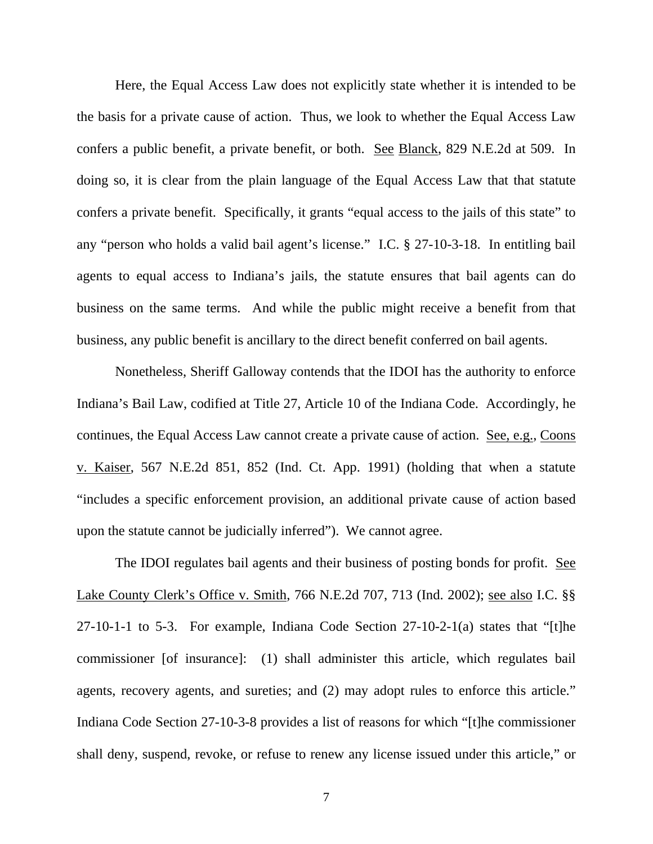Here, the Equal Access Law does not explicitly state whether it is intended to be the basis for a private cause of action. Thus, we look to whether the Equal Access Law confers a public benefit, a private benefit, or both. See Blanck, 829 N.E.2d at 509. In doing so, it is clear from the plain language of the Equal Access Law that that statute confers a private benefit. Specifically, it grants "equal access to the jails of this state" to any "person who holds a valid bail agent's license." I.C. § 27-10-3-18. In entitling bail agents to equal access to Indiana's jails, the statute ensures that bail agents can do business on the same terms. And while the public might receive a benefit from that business, any public benefit is ancillary to the direct benefit conferred on bail agents.

 Nonetheless, Sheriff Galloway contends that the IDOI has the authority to enforce Indiana's Bail Law, codified at Title 27, Article 10 of the Indiana Code. Accordingly, he continues, the Equal Access Law cannot create a private cause of action. See, e.g., Coons v. Kaiser, 567 N.E.2d 851, 852 (Ind. Ct. App. 1991) (holding that when a statute "includes a specific enforcement provision, an additional private cause of action based upon the statute cannot be judicially inferred"). We cannot agree.

 The IDOI regulates bail agents and their business of posting bonds for profit. See Lake County Clerk's Office v. Smith, 766 N.E.2d 707, 713 (Ind. 2002); see also I.C. §§ 27-10-1-1 to 5-3. For example, Indiana Code Section 27-10-2-1(a) states that "[t]he commissioner [of insurance]: (1) shall administer this article, which regulates bail agents, recovery agents, and sureties; and (2) may adopt rules to enforce this article." Indiana Code Section 27-10-3-8 provides a list of reasons for which "[t]he commissioner shall deny, suspend, revoke, or refuse to renew any license issued under this article," or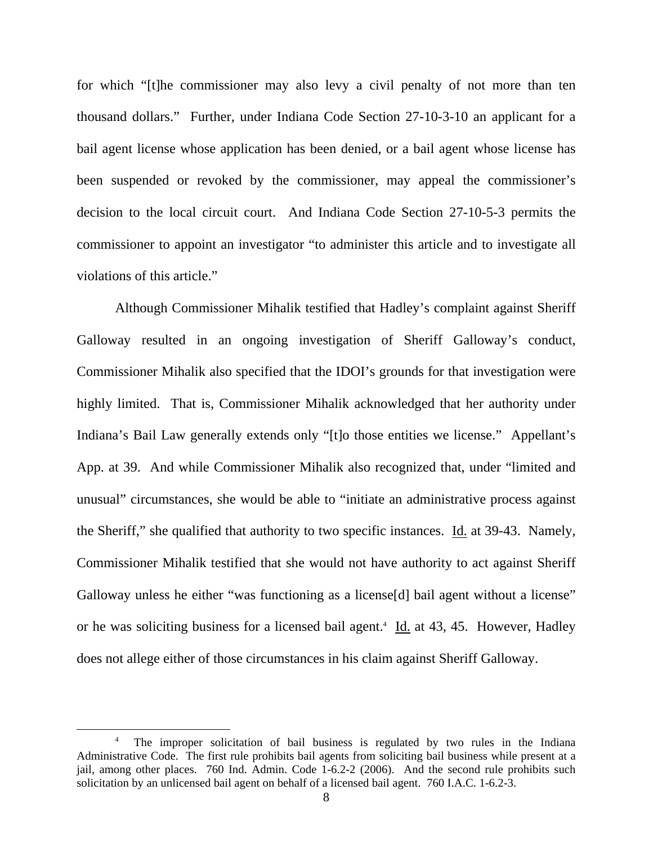for which "[t]he commissioner may also levy a civil penalty of not more than ten thousand dollars." Further, under Indiana Code Section 27-10-3-10 an applicant for a bail agent license whose application has been denied, or a bail agent whose license has been suspended or revoked by the commissioner, may appeal the commissioner's decision to the local circuit court. And Indiana Code Section 27-10-5-3 permits the commissioner to appoint an investigator "to administer this article and to investigate all violations of this article."

 Although Commissioner Mihalik testified that Hadley's complaint against Sheriff Galloway resulted in an ongoing investigation of Sheriff Galloway's conduct, Commissioner Mihalik also specified that the IDOI's grounds for that investigation were highly limited. That is, Commissioner Mihalik acknowledged that her authority under Indiana's Bail Law generally extends only "[t]o those entities we license." Appellant's App. at 39. And while Commissioner Mihalik also recognized that, under "limited and unusual" circumstances, she would be able to "initiate an administrative process against the Sheriff," she qualified that authority to two specific instances. Id. at 39-43. Namely, Commissioner Mihalik testified that she would not have authority to act against Sheriff Galloway unless he either "was functioning as a license<sup>[d]</sup> bail agent without a license" or he was soliciting business for a licensed bail agent.<sup>4</sup> Id. at 43, 45. However, Hadley does not allege either of those circumstances in his claim against Sheriff Galloway.

 $\frac{1}{4}$ <sup>4</sup> The improper solicitation of bail business is regulated by two rules in the Indiana Administrative Code. The first rule prohibits bail agents from soliciting bail business while present at a jail, among other places. 760 Ind. Admin. Code 1-6.2-2 (2006). And the second rule prohibits such solicitation by an unlicensed bail agent on behalf of a licensed bail agent. 760 I.A.C. 1-6.2-3.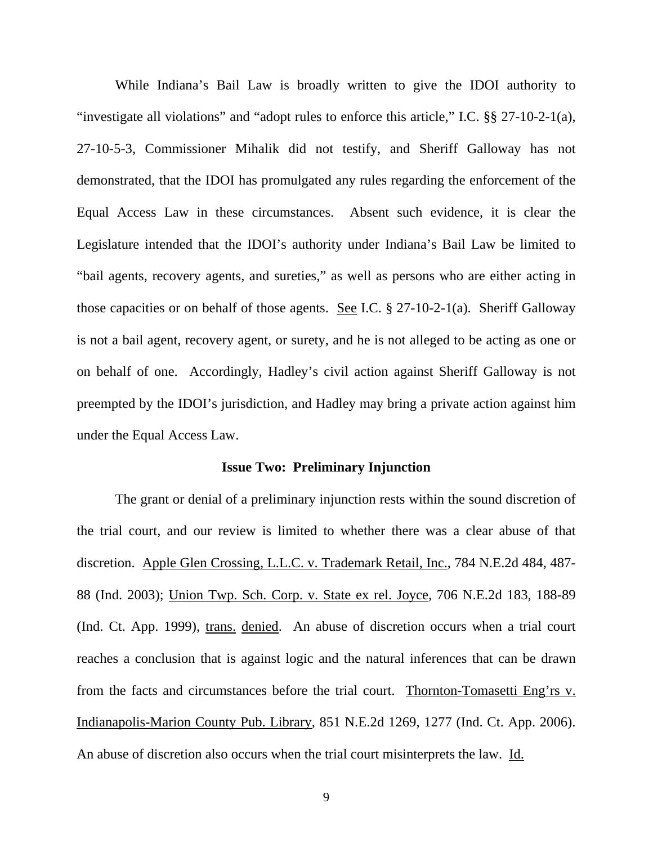While Indiana's Bail Law is broadly written to give the IDOI authority to "investigate all violations" and "adopt rules to enforce this article," I.C. §§ 27-10-2-1(a), 27-10-5-3, Commissioner Mihalik did not testify, and Sheriff Galloway has not demonstrated, that the IDOI has promulgated any rules regarding the enforcement of the Equal Access Law in these circumstances. Absent such evidence, it is clear the Legislature intended that the IDOI's authority under Indiana's Bail Law be limited to "bail agents, recovery agents, and sureties," as well as persons who are either acting in those capacities or on behalf of those agents. See I.C. § 27-10-2-1(a). Sheriff Galloway is not a bail agent, recovery agent, or surety, and he is not alleged to be acting as one or on behalf of one. Accordingly, Hadley's civil action against Sheriff Galloway is not preempted by the IDOI's jurisdiction, and Hadley may bring a private action against him under the Equal Access Law.

#### **Issue Two: Preliminary Injunction**

The grant or denial of a preliminary injunction rests within the sound discretion of the trial court, and our review is limited to whether there was a clear abuse of that discretion. Apple Glen Crossing, L.L.C. v. Trademark Retail, Inc., 784 N.E.2d 484, 487- 88 (Ind. 2003); Union Twp. Sch. Corp. v. State ex rel. Joyce, 706 N.E.2d 183, 188-89 (Ind. Ct. App. 1999), trans. denied. An abuse of discretion occurs when a trial court reaches a conclusion that is against logic and the natural inferences that can be drawn from the facts and circumstances before the trial court. Thornton-Tomasetti Eng'rs v. Indianapolis-Marion County Pub. Library, 851 N.E.2d 1269, 1277 (Ind. Ct. App. 2006). An abuse of discretion also occurs when the trial court misinterprets the law. Id.

9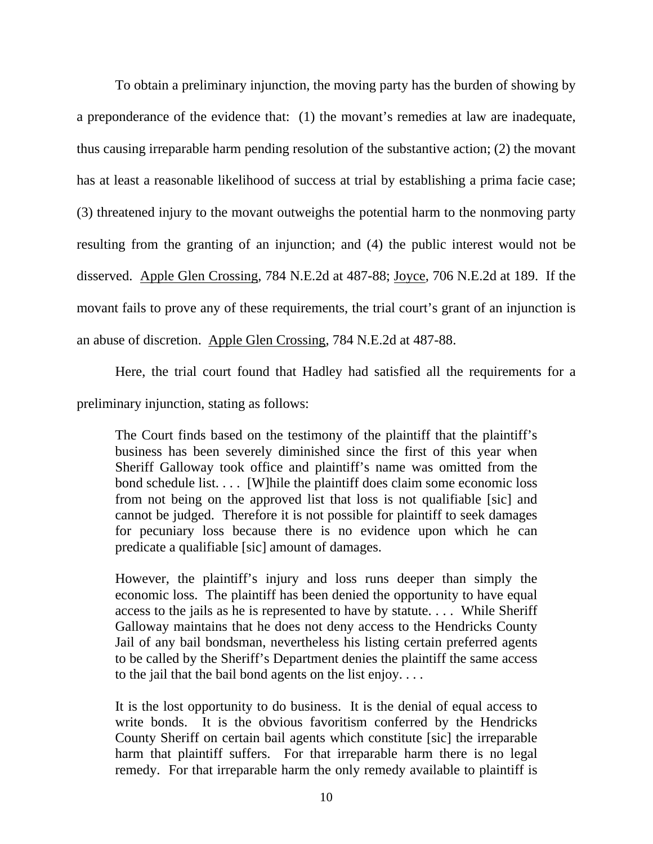To obtain a preliminary injunction, the moving party has the burden of showing by a preponderance of the evidence that: (1) the movant's remedies at law are inadequate, thus causing irreparable harm pending resolution of the substantive action; (2) the movant has at least a reasonable likelihood of success at trial by establishing a prima facie case; (3) threatened injury to the movant outweighs the potential harm to the nonmoving party resulting from the granting of an injunction; and (4) the public interest would not be disserved. Apple Glen Crossing, 784 N.E.2d at 487-88; Joyce, 706 N.E.2d at 189. If the movant fails to prove any of these requirements, the trial court's grant of an injunction is an abuse of discretion. Apple Glen Crossing, 784 N.E.2d at 487-88.

Here, the trial court found that Hadley had satisfied all the requirements for a preliminary injunction, stating as follows:

The Court finds based on the testimony of the plaintiff that the plaintiff's business has been severely diminished since the first of this year when Sheriff Galloway took office and plaintiff's name was omitted from the bond schedule list. . . . [W]hile the plaintiff does claim some economic loss from not being on the approved list that loss is not qualifiable [sic] and cannot be judged. Therefore it is not possible for plaintiff to seek damages for pecuniary loss because there is no evidence upon which he can predicate a qualifiable [sic] amount of damages.

However, the plaintiff's injury and loss runs deeper than simply the economic loss. The plaintiff has been denied the opportunity to have equal access to the jails as he is represented to have by statute. . . . While Sheriff Galloway maintains that he does not deny access to the Hendricks County Jail of any bail bondsman, nevertheless his listing certain preferred agents to be called by the Sheriff's Department denies the plaintiff the same access to the jail that the bail bond agents on the list enjoy. . . .

It is the lost opportunity to do business. It is the denial of equal access to write bonds. It is the obvious favoritism conferred by the Hendricks County Sheriff on certain bail agents which constitute [sic] the irreparable harm that plaintiff suffers. For that irreparable harm there is no legal remedy. For that irreparable harm the only remedy available to plaintiff is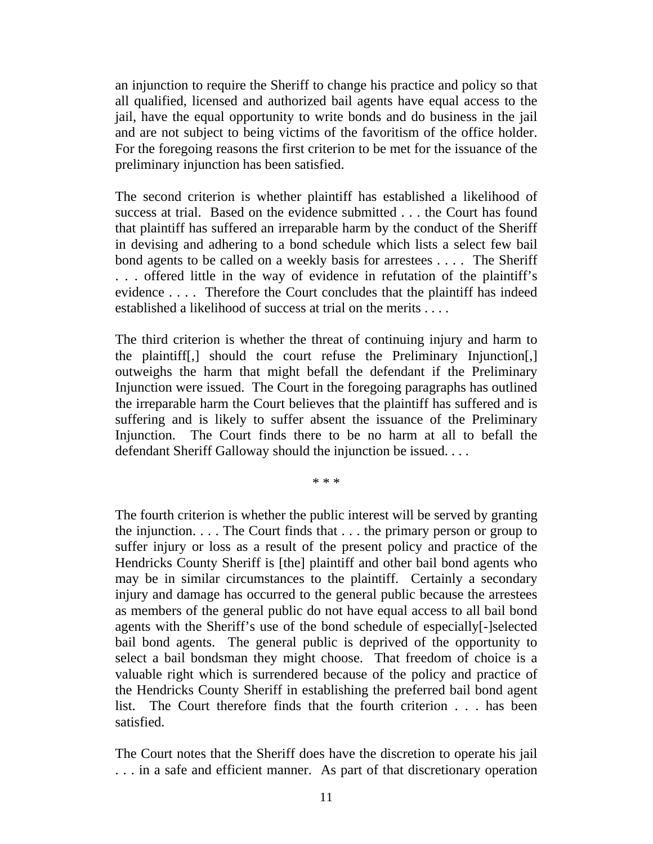an injunction to require the Sheriff to change his practice and policy so that all qualified, licensed and authorized bail agents have equal access to the jail, have the equal opportunity to write bonds and do business in the jail and are not subject to being victims of the favoritism of the office holder. For the foregoing reasons the first criterion to be met for the issuance of the preliminary injunction has been satisfied.

The second criterion is whether plaintiff has established a likelihood of success at trial. Based on the evidence submitted . . . the Court has found that plaintiff has suffered an irreparable harm by the conduct of the Sheriff in devising and adhering to a bond schedule which lists a select few bail bond agents to be called on a weekly basis for arrestees . . . . The Sheriff . . . offered little in the way of evidence in refutation of the plaintiff's evidence . . . . Therefore the Court concludes that the plaintiff has indeed established a likelihood of success at trial on the merits . . . .

The third criterion is whether the threat of continuing injury and harm to the plaintiff[,] should the court refuse the Preliminary Injunction[,] outweighs the harm that might befall the defendant if the Preliminary Injunction were issued. The Court in the foregoing paragraphs has outlined the irreparable harm the Court believes that the plaintiff has suffered and is suffering and is likely to suffer absent the issuance of the Preliminary Injunction. The Court finds there to be no harm at all to befall the defendant Sheriff Galloway should the injunction be issued. . . .

\* \* \*

The fourth criterion is whether the public interest will be served by granting the injunction. . . . The Court finds that . . . the primary person or group to suffer injury or loss as a result of the present policy and practice of the Hendricks County Sheriff is [the] plaintiff and other bail bond agents who may be in similar circumstances to the plaintiff. Certainly a secondary injury and damage has occurred to the general public because the arrestees as members of the general public do not have equal access to all bail bond agents with the Sheriff's use of the bond schedule of especially[-]selected bail bond agents. The general public is deprived of the opportunity to select a bail bondsman they might choose. That freedom of choice is a valuable right which is surrendered because of the policy and practice of the Hendricks County Sheriff in establishing the preferred bail bond agent list. The Court therefore finds that the fourth criterion . . . has been satisfied.

The Court notes that the Sheriff does have the discretion to operate his jail . . . in a safe and efficient manner. As part of that discretionary operation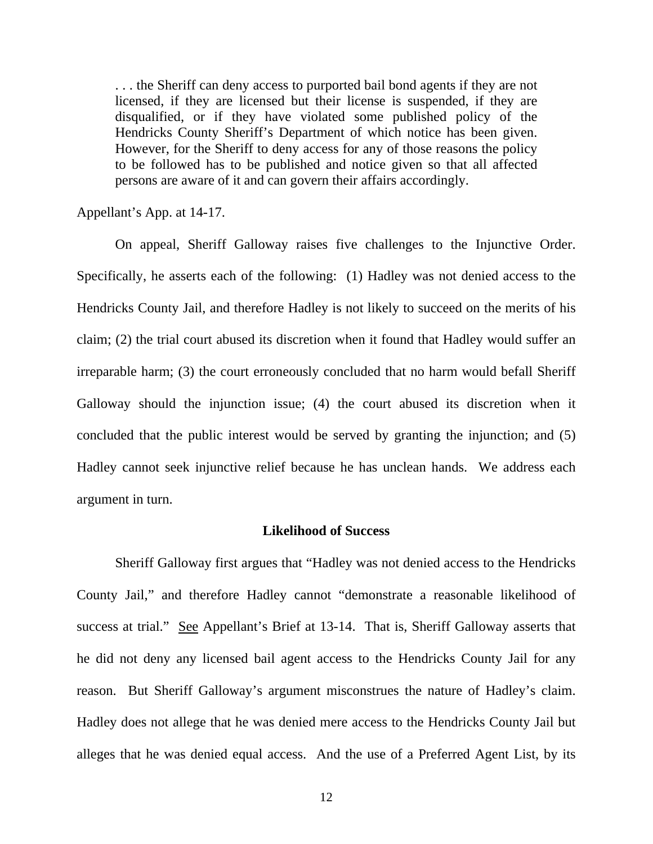. . . the Sheriff can deny access to purported bail bond agents if they are not licensed, if they are licensed but their license is suspended, if they are disqualified, or if they have violated some published policy of the Hendricks County Sheriff's Department of which notice has been given. However, for the Sheriff to deny access for any of those reasons the policy to be followed has to be published and notice given so that all affected persons are aware of it and can govern their affairs accordingly.

Appellant's App. at 14-17.

 On appeal, Sheriff Galloway raises five challenges to the Injunctive Order. Specifically, he asserts each of the following: (1) Hadley was not denied access to the Hendricks County Jail, and therefore Hadley is not likely to succeed on the merits of his claim; (2) the trial court abused its discretion when it found that Hadley would suffer an irreparable harm; (3) the court erroneously concluded that no harm would befall Sheriff Galloway should the injunction issue; (4) the court abused its discretion when it concluded that the public interest would be served by granting the injunction; and (5) Hadley cannot seek injunctive relief because he has unclean hands. We address each argument in turn.

#### **Likelihood of Success**

Sheriff Galloway first argues that "Hadley was not denied access to the Hendricks County Jail," and therefore Hadley cannot "demonstrate a reasonable likelihood of success at trial." See Appellant's Brief at 13-14. That is, Sheriff Galloway asserts that he did not deny any licensed bail agent access to the Hendricks County Jail for any reason. But Sheriff Galloway's argument misconstrues the nature of Hadley's claim. Hadley does not allege that he was denied mere access to the Hendricks County Jail but alleges that he was denied equal access. And the use of a Preferred Agent List, by its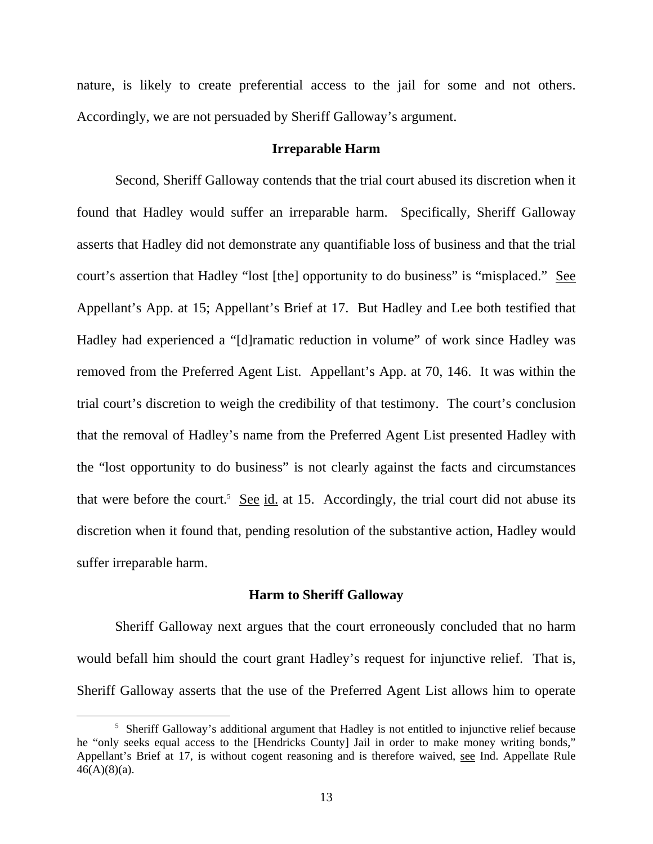nature, is likely to create preferential access to the jail for some and not others. Accordingly, we are not persuaded by Sheriff Galloway's argument.

#### **Irreparable Harm**

 Second, Sheriff Galloway contends that the trial court abused its discretion when it found that Hadley would suffer an irreparable harm. Specifically, Sheriff Galloway asserts that Hadley did not demonstrate any quantifiable loss of business and that the trial court's assertion that Hadley "lost [the] opportunity to do business" is "misplaced." See Appellant's App. at 15; Appellant's Brief at 17. But Hadley and Lee both testified that Hadley had experienced a "[d]ramatic reduction in volume" of work since Hadley was removed from the Preferred Agent List. Appellant's App. at 70, 146. It was within the trial court's discretion to weigh the credibility of that testimony. The court's conclusion that the removal of Hadley's name from the Preferred Agent List presented Hadley with the "lost opportunity to do business" is not clearly against the facts and circumstances that were before the court.<sup>5</sup> See id. at 15. Accordingly, the trial court did not abuse its discretion when it found that, pending resolution of the substantive action, Hadley would suffer irreparable harm.

#### **Harm to Sheriff Galloway**

 Sheriff Galloway next argues that the court erroneously concluded that no harm would befall him should the court grant Hadley's request for injunctive relief. That is, Sheriff Galloway asserts that the use of the Preferred Agent List allows him to operate

 $rac{1}{5}$  $5$  Sheriff Galloway's additional argument that Hadley is not entitled to injunctive relief because he "only seeks equal access to the [Hendricks County] Jail in order to make money writing bonds," Appellant's Brief at 17, is without cogent reasoning and is therefore waived, see Ind. Appellate Rule  $46(A)(8)(a)$ .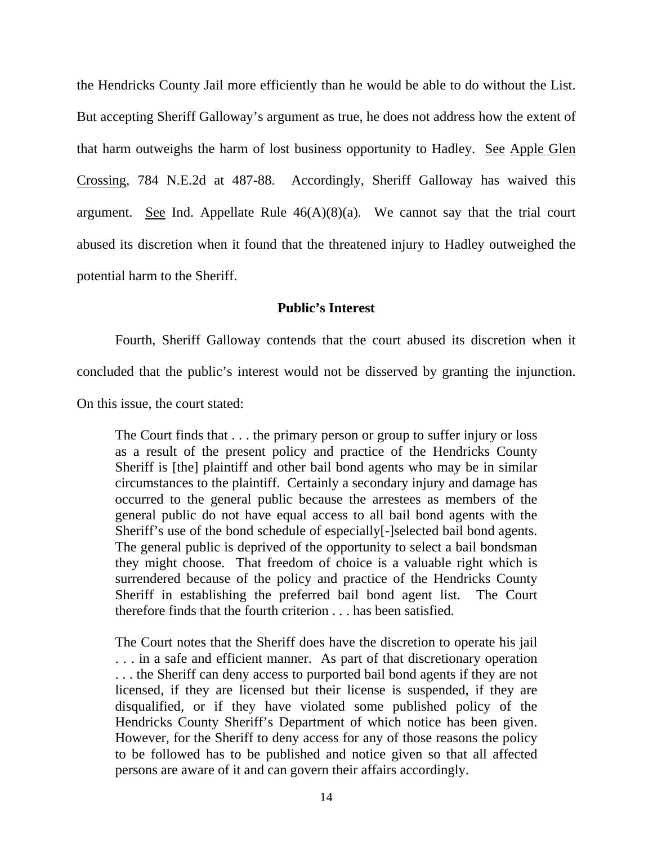the Hendricks County Jail more efficiently than he would be able to do without the List. But accepting Sheriff Galloway's argument as true, he does not address how the extent of that harm outweighs the harm of lost business opportunity to Hadley. See Apple Glen Crossing, 784 N.E.2d at 487-88. Accordingly, Sheriff Galloway has waived this argument. See Ind. Appellate Rule  $46(A)(8)(a)$ . We cannot say that the trial court abused its discretion when it found that the threatened injury to Hadley outweighed the potential harm to the Sheriff.

## **Public's Interest**

Fourth, Sheriff Galloway contends that the court abused its discretion when it

concluded that the public's interest would not be disserved by granting the injunction.

On this issue, the court stated:

The Court finds that . . . the primary person or group to suffer injury or loss as a result of the present policy and practice of the Hendricks County Sheriff is [the] plaintiff and other bail bond agents who may be in similar circumstances to the plaintiff. Certainly a secondary injury and damage has occurred to the general public because the arrestees as members of the general public do not have equal access to all bail bond agents with the Sheriff's use of the bond schedule of especially<sup>[-</sup>]selected bail bond agents. The general public is deprived of the opportunity to select a bail bondsman they might choose. That freedom of choice is a valuable right which is surrendered because of the policy and practice of the Hendricks County Sheriff in establishing the preferred bail bond agent list. The Court therefore finds that the fourth criterion . . . has been satisfied.

The Court notes that the Sheriff does have the discretion to operate his jail . . . in a safe and efficient manner. As part of that discretionary operation . . . the Sheriff can deny access to purported bail bond agents if they are not licensed, if they are licensed but their license is suspended, if they are disqualified, or if they have violated some published policy of the Hendricks County Sheriff's Department of which notice has been given. However, for the Sheriff to deny access for any of those reasons the policy to be followed has to be published and notice given so that all affected persons are aware of it and can govern their affairs accordingly.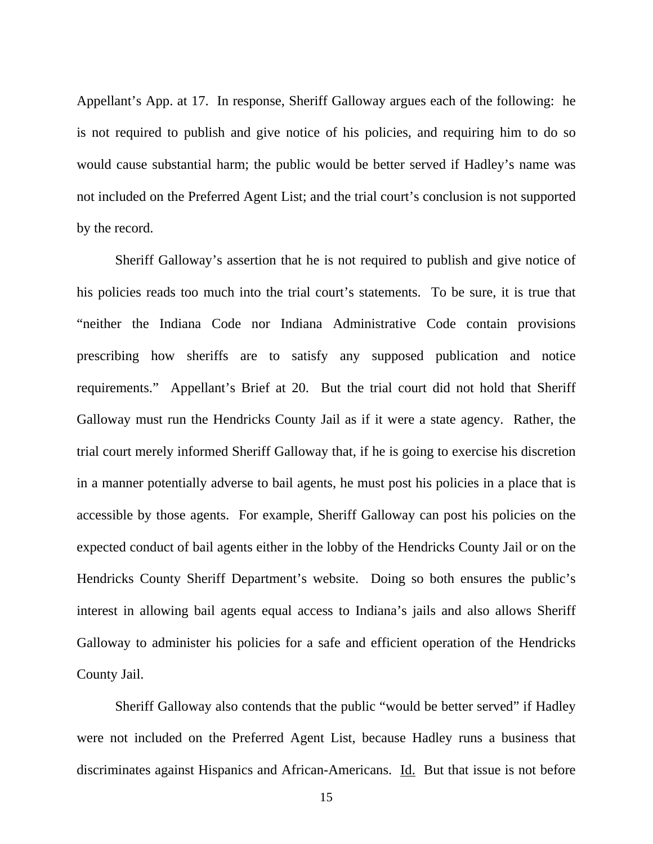Appellant's App. at 17. In response, Sheriff Galloway argues each of the following: he is not required to publish and give notice of his policies, and requiring him to do so would cause substantial harm; the public would be better served if Hadley's name was not included on the Preferred Agent List; and the trial court's conclusion is not supported by the record.

 Sheriff Galloway's assertion that he is not required to publish and give notice of his policies reads too much into the trial court's statements. To be sure, it is true that "neither the Indiana Code nor Indiana Administrative Code contain provisions prescribing how sheriffs are to satisfy any supposed publication and notice requirements." Appellant's Brief at 20. But the trial court did not hold that Sheriff Galloway must run the Hendricks County Jail as if it were a state agency. Rather, the trial court merely informed Sheriff Galloway that, if he is going to exercise his discretion in a manner potentially adverse to bail agents, he must post his policies in a place that is accessible by those agents. For example, Sheriff Galloway can post his policies on the expected conduct of bail agents either in the lobby of the Hendricks County Jail or on the Hendricks County Sheriff Department's website. Doing so both ensures the public's interest in allowing bail agents equal access to Indiana's jails and also allows Sheriff Galloway to administer his policies for a safe and efficient operation of the Hendricks County Jail.

 Sheriff Galloway also contends that the public "would be better served" if Hadley were not included on the Preferred Agent List, because Hadley runs a business that discriminates against Hispanics and African-Americans. Id. But that issue is not before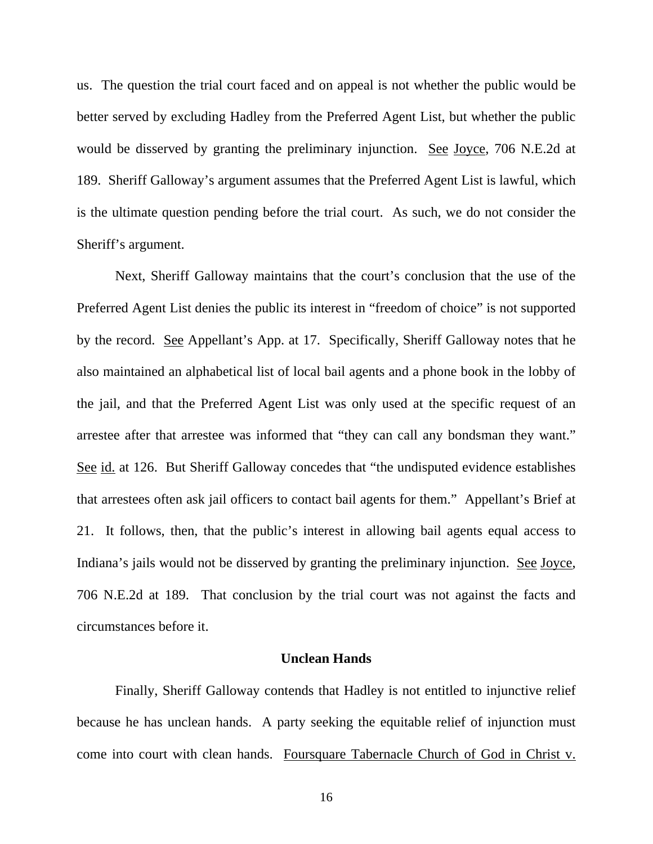us. The question the trial court faced and on appeal is not whether the public would be better served by excluding Hadley from the Preferred Agent List, but whether the public would be disserved by granting the preliminary injunction. See Joyce, 706 N.E.2d at 189. Sheriff Galloway's argument assumes that the Preferred Agent List is lawful, which is the ultimate question pending before the trial court. As such, we do not consider the Sheriff's argument.

 Next, Sheriff Galloway maintains that the court's conclusion that the use of the Preferred Agent List denies the public its interest in "freedom of choice" is not supported by the record. See Appellant's App. at 17. Specifically, Sheriff Galloway notes that he also maintained an alphabetical list of local bail agents and a phone book in the lobby of the jail, and that the Preferred Agent List was only used at the specific request of an arrestee after that arrestee was informed that "they can call any bondsman they want." See id. at 126. But Sheriff Galloway concedes that "the undisputed evidence establishes that arrestees often ask jail officers to contact bail agents for them." Appellant's Brief at 21. It follows, then, that the public's interest in allowing bail agents equal access to Indiana's jails would not be disserved by granting the preliminary injunction. See Joyce, 706 N.E.2d at 189. That conclusion by the trial court was not against the facts and circumstances before it.

## **Unclean Hands**

 Finally, Sheriff Galloway contends that Hadley is not entitled to injunctive relief because he has unclean hands. A party seeking the equitable relief of injunction must come into court with clean hands. Foursquare Tabernacle Church of God in Christ v.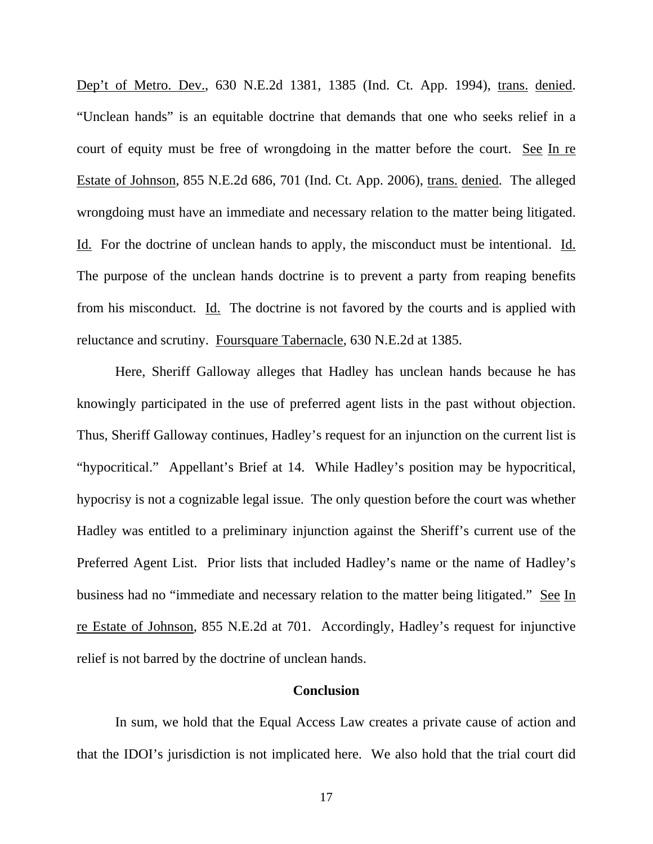Dep't of Metro. Dev., 630 N.E.2d 1381, 1385 (Ind. Ct. App. 1994), trans. denied. "Unclean hands" is an equitable doctrine that demands that one who seeks relief in a court of equity must be free of wrongdoing in the matter before the court. See In re Estate of Johnson, 855 N.E.2d 686, 701 (Ind. Ct. App. 2006), trans. denied. The alleged wrongdoing must have an immediate and necessary relation to the matter being litigated. Id. For the doctrine of unclean hands to apply, the misconduct must be intentional. Id. The purpose of the unclean hands doctrine is to prevent a party from reaping benefits from his misconduct. Id. The doctrine is not favored by the courts and is applied with reluctance and scrutiny. Foursquare Tabernacle, 630 N.E.2d at 1385.

 Here, Sheriff Galloway alleges that Hadley has unclean hands because he has knowingly participated in the use of preferred agent lists in the past without objection. Thus, Sheriff Galloway continues, Hadley's request for an injunction on the current list is "hypocritical." Appellant's Brief at 14. While Hadley's position may be hypocritical, hypocrisy is not a cognizable legal issue. The only question before the court was whether Hadley was entitled to a preliminary injunction against the Sheriff's current use of the Preferred Agent List. Prior lists that included Hadley's name or the name of Hadley's business had no "immediate and necessary relation to the matter being litigated." See In re Estate of Johnson, 855 N.E.2d at 701. Accordingly, Hadley's request for injunctive relief is not barred by the doctrine of unclean hands.

#### **Conclusion**

 In sum, we hold that the Equal Access Law creates a private cause of action and that the IDOI's jurisdiction is not implicated here. We also hold that the trial court did